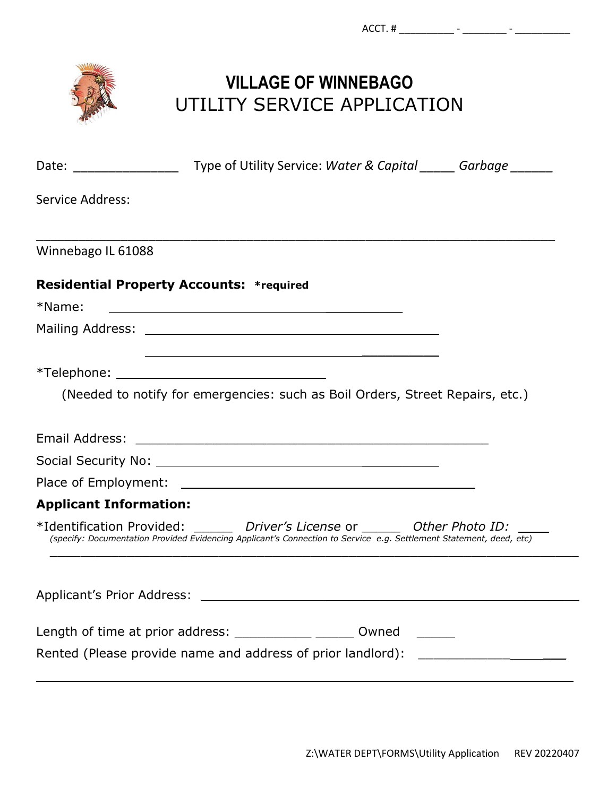

## **VILLAGE OF WINNEBAGO** UTILITY SERVICE APPLICATION

| Date: _________________                                     | Type of Utility Service: Water & Capital ______ Garbage ______                                                                                                                                          |  |
|-------------------------------------------------------------|---------------------------------------------------------------------------------------------------------------------------------------------------------------------------------------------------------|--|
| Service Address:                                            |                                                                                                                                                                                                         |  |
| Winnebago IL 61088                                          |                                                                                                                                                                                                         |  |
| <b>Residential Property Accounts: *required</b>             |                                                                                                                                                                                                         |  |
| *Name:                                                      | <u> 1989 - Johann Stoff, deutscher Stoff, der Stoff, der Stoff, der Stoff, der Stoff, der Stoff, der Stoff, der S</u>                                                                                   |  |
|                                                             |                                                                                                                                                                                                         |  |
|                                                             |                                                                                                                                                                                                         |  |
|                                                             | (Needed to notify for emergencies: such as Boil Orders, Street Repairs, etc.)                                                                                                                           |  |
|                                                             |                                                                                                                                                                                                         |  |
|                                                             | Social Security No: 2008 2009 2010 2020 2031 2040 2051 2052 2053 2054 2055 2056 2057 2058 2059 2059 2059 2059                                                                                           |  |
|                                                             |                                                                                                                                                                                                         |  |
| <b>Applicant Information:</b>                               |                                                                                                                                                                                                         |  |
|                                                             | *Identification Provided: ______ Driver's License or ______ Other Photo ID: ____<br>(specify: Documentation Provided Evidencing Applicant's Connection to Service e.g. Settlement Statement, deed, etc) |  |
| Applicant's Prior Address:                                  |                                                                                                                                                                                                         |  |
| Length of time at prior address: ____________ _______ Owned |                                                                                                                                                                                                         |  |
|                                                             | Rented (Please provide name and address of prior landlord): ____________________                                                                                                                        |  |